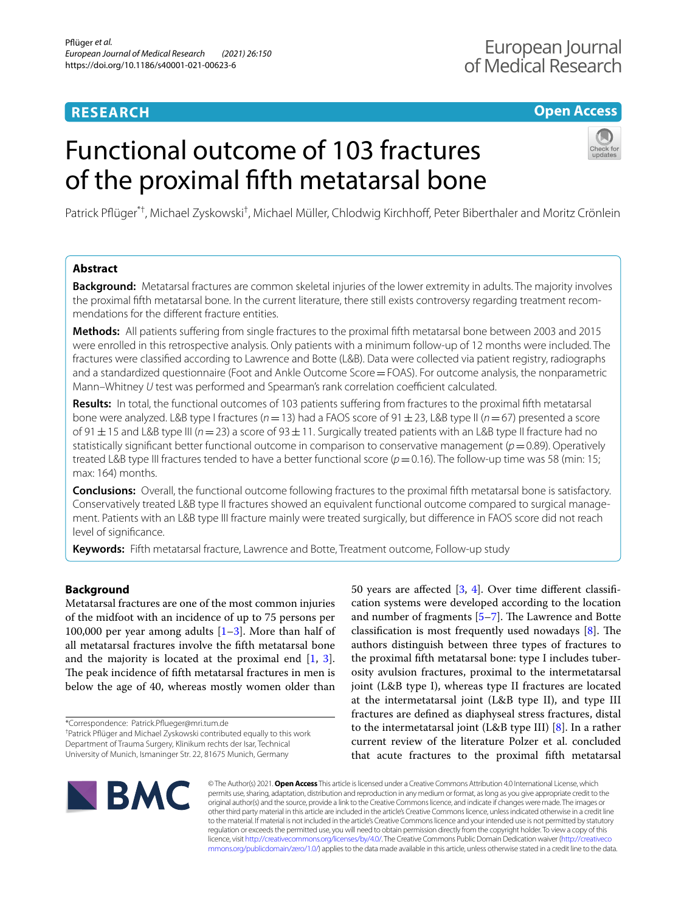# **RESEARCH**

# **Open Access**

# Functional outcome of 103 fractures of the proximal ffth metatarsal bone



Patrick Pflüger<sup>\*†</sup>, Michael Zyskowski<sup>†</sup>, Michael Müller, Chlodwig Kirchhoff, Peter Biberthaler and Moritz Crönlein

# **Abstract**

**Background:** Metatarsal fractures are common skeletal injuries of the lower extremity in adults. The majority involves the proximal ffth metatarsal bone. In the current literature, there still exists controversy regarding treatment recommendations for the diferent fracture entities.

**Methods:** All patients sufering from single fractures to the proximal ffth metatarsal bone between 2003 and 2015 were enrolled in this retrospective analysis. Only patients with a minimum follow-up of 12 months were included. The fractures were classifed according to Lawrence and Botte (L&B). Data were collected via patient registry, radiographs and a standardized questionnaire (Foot and Ankle Outcome Score=FOAS). For outcome analysis, the nonparametric Mann–Whitney *U* test was performed and Spearman's rank correlation coefficient calculated.

Results: In total, the functional outcomes of 103 patients suffering from fractures to the proximal fifth metatarsal bone were analyzed. L&B type I fractures (*n*=13) had a FAOS score of 91±23, L&B type II (*n*=67) presented a score of 91±15 and L&B type III (*n*=23) a score of 93±11. Surgically treated patients with an L&B type II fracture had no statistically signifcant better functional outcome in comparison to conservative management (*p*=0.89). Operatively treated L&B type III fractures tended to have a better functional score  $(p=0.16)$ . The follow-up time was 58 (min: 15; max: 164) months.

**Conclusions:** Overall, the functional outcome following fractures to the proximal ffth metatarsal bone is satisfactory. Conservatively treated L&B type II fractures showed an equivalent functional outcome compared to surgical management. Patients with an L&B type III fracture mainly were treated surgically, but diference in FAOS score did not reach level of signifcance.

**Keywords:** Fifth metatarsal fracture, Lawrence and Botte, Treatment outcome, Follow-up study

# **Background**

Metatarsal fractures are one of the most common injuries of the midfoot with an incidence of up to 75 persons per 100,000 per year among adults  $[1-3]$  $[1-3]$ . More than half of all metatarsal fractures involve the ffth metatarsal bone and the majority is located at the proximal end [[1,](#page-5-0) [3](#page-5-1)]. The peak incidence of fifth metatarsal fractures in men is below the age of 40, whereas mostly women older than

\*Correspondence: Patrick.Pfueger@mri.tum.de

† Patrick Pfüger and Michael Zyskowski contributed equally to this work Department of Trauma Surgery, Klinikum rechts der Isar, Technical University of Munich, Ismaninger Str. 22, 81675 Munich, Germany

50 years are afected [\[3](#page-5-1), [4\]](#page-5-2). Over time diferent classifcation systems were developed according to the location and number of fragments  $[5-7]$  $[5-7]$ . The Lawrence and Botte classification is most frequently used nowadays  $[8]$  $[8]$ . The authors distinguish between three types of fractures to the proximal ffth metatarsal bone: type I includes tuberosity avulsion fractures, proximal to the intermetatarsal joint (L&B type I), whereas type II fractures are located at the intermetatarsal joint (L&B type II), and type III fractures are defned as diaphyseal stress fractures, distal to the intermetatarsal joint (L&B type III) [\[8\]](#page-5-5). In a rather current review of the literature Polzer et al. concluded that acute fractures to the proximal ffth metatarsal



© The Author(s) 2021. **Open Access** This article is licensed under a Creative Commons Attribution 4.0 International License, which permits use, sharing, adaptation, distribution and reproduction in any medium or format, as long as you give appropriate credit to the original author(s) and the source, provide a link to the Creative Commons licence, and indicate if changes were made. The images or other third party material in this article are included in the article's Creative Commons licence, unless indicated otherwise in a credit line to the material. If material is not included in the article's Creative Commons licence and your intended use is not permitted by statutory regulation or exceeds the permitted use, you will need to obtain permission directly from the copyright holder. To view a copy of this licence, visit [http://creativecommons.org/licenses/by/4.0/.](http://creativecommons.org/licenses/by/4.0/) The Creative Commons Public Domain Dedication waiver ([http://creativeco](http://creativecommons.org/publicdomain/zero/1.0/) [mmons.org/publicdomain/zero/1.0/](http://creativecommons.org/publicdomain/zero/1.0/)) applies to the data made available in this article, unless otherwise stated in a credit line to the data.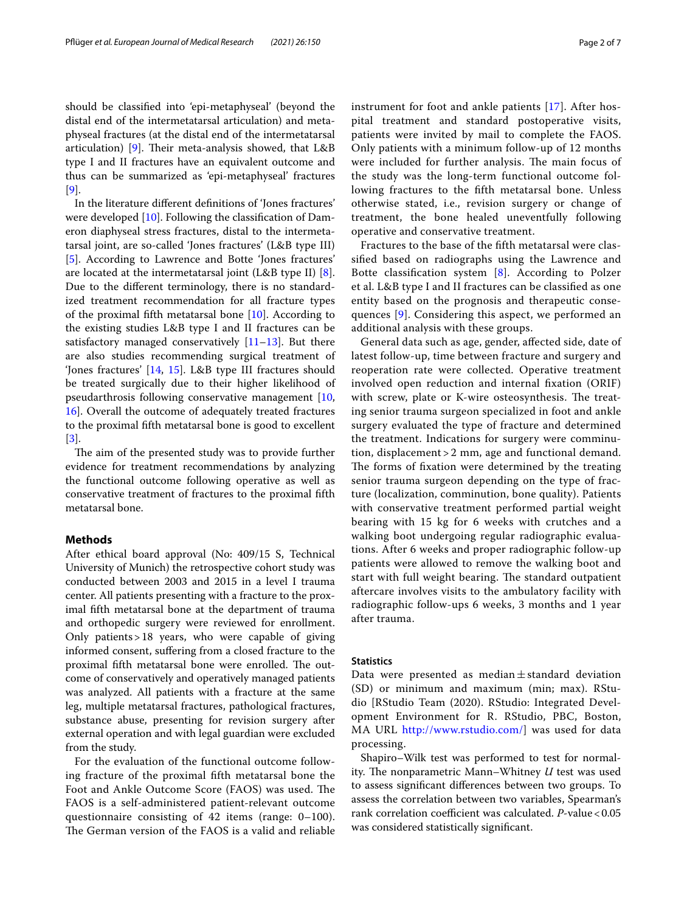should be classifed into 'epi-metaphyseal' (beyond the distal end of the intermetatarsal articulation) and metaphyseal fractures (at the distal end of the intermetatarsal articulation) [[9](#page-5-6)]. Their meta-analysis showed, that  $L&B$ type I and II fractures have an equivalent outcome and thus can be summarized as 'epi-metaphyseal' fractures

In the literature diferent defnitions of 'Jones fractures' were developed [\[10\]](#page-5-7). Following the classifcation of Dameron diaphyseal stress fractures, distal to the intermetatarsal joint, are so-called 'Jones fractures' (L&B type III) [[5\]](#page-5-3). According to Lawrence and Botte 'Jones fractures' are located at the intermetatarsal joint (L&B type II) [\[8](#page-5-5)]. Due to the diferent terminology, there is no standardized treatment recommendation for all fracture types of the proximal ffth metatarsal bone [[10\]](#page-5-7). According to the existing studies L&B type I and II fractures can be satisfactory managed conservatively  $[11-13]$  $[11-13]$ . But there are also studies recommending surgical treatment of 'Jones fractures' [[14,](#page-6-2) [15\]](#page-6-3). L&B type III fractures should be treated surgically due to their higher likelihood of pseudarthrosis following conservative management [\[10](#page-5-7), [16\]](#page-6-4). Overall the outcome of adequately treated fractures to the proximal ffth metatarsal bone is good to excellent [[3\]](#page-5-1).

The aim of the presented study was to provide further evidence for treatment recommendations by analyzing the functional outcome following operative as well as conservative treatment of fractures to the proximal ffth metatarsal bone.

# **Methods**

[[9\]](#page-5-6).

After ethical board approval (No: 409/15 S, Technical University of Munich) the retrospective cohort study was conducted between 2003 and 2015 in a level I trauma center. All patients presenting with a fracture to the proximal ffth metatarsal bone at the department of trauma and orthopedic surgery were reviewed for enrollment. Only patients>18 years, who were capable of giving informed consent, sufering from a closed fracture to the proximal fifth metatarsal bone were enrolled. The outcome of conservatively and operatively managed patients was analyzed. All patients with a fracture at the same leg, multiple metatarsal fractures, pathological fractures, substance abuse, presenting for revision surgery after external operation and with legal guardian were excluded from the study.

For the evaluation of the functional outcome following fracture of the proximal ffth metatarsal bone the Foot and Ankle Outcome Score (FAOS) was used. The FAOS is a self-administered patient-relevant outcome questionnaire consisting of 42 items (range: 0–100). The German version of the FAOS is a valid and reliable instrument for foot and ankle patients [[17\]](#page-6-5). After hospital treatment and standard postoperative visits, patients were invited by mail to complete the FAOS. Only patients with a minimum follow-up of 12 months were included for further analysis. The main focus of the study was the long-term functional outcome following fractures to the ffth metatarsal bone. Unless otherwise stated, i.e., revision surgery or change of treatment, the bone healed uneventfully following operative and conservative treatment.

Fractures to the base of the ffth metatarsal were classifed based on radiographs using the Lawrence and Botte classifcation system [[8\]](#page-5-5). According to Polzer et al. L&B type I and II fractures can be classifed as one entity based on the prognosis and therapeutic consequences [\[9](#page-5-6)]. Considering this aspect, we performed an additional analysis with these groups.

General data such as age, gender, afected side, date of latest follow-up, time between fracture and surgery and reoperation rate were collected. Operative treatment involved open reduction and internal fxation (ORIF) with screw, plate or K-wire osteosynthesis. The treating senior trauma surgeon specialized in foot and ankle surgery evaluated the type of fracture and determined the treatment. Indications for surgery were comminution, displacement > 2 mm, age and functional demand. The forms of fixation were determined by the treating senior trauma surgeon depending on the type of fracture (localization, comminution, bone quality). Patients with conservative treatment performed partial weight bearing with 15 kg for 6 weeks with crutches and a walking boot undergoing regular radiographic evaluations. After 6 weeks and proper radiographic follow-up patients were allowed to remove the walking boot and start with full weight bearing. The standard outpatient aftercare involves visits to the ambulatory facility with radiographic follow-ups 6 weeks, 3 months and 1 year after trauma.

### **Statistics**

Data were presented as median $\pm$ standard deviation (SD) or minimum and maximum (min; max). RStudio [RStudio Team (2020). RStudio: Integrated Development Environment for R. RStudio, PBC, Boston, MA URL [http://www.rstudio.com/\]](http://www.rstudio.com/) was used for data processing.

Shapiro–Wilk test was performed to test for normality. The nonparametric Mann–Whitney *U* test was used to assess signifcant diferences between two groups. To assess the correlation between two variables, Spearman's rank correlation coefficient was calculated. *P*-value < 0.05 was considered statistically signifcant.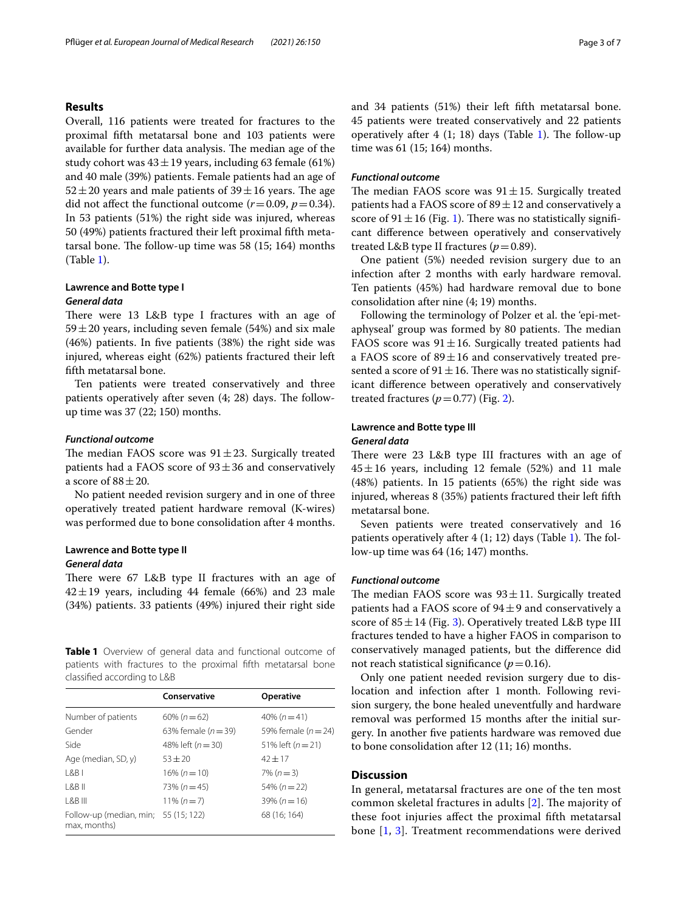# **Results**

Overall, 116 patients were treated for fractures to the proximal ffth metatarsal bone and 103 patients were available for further data analysis. The median age of the study cohort was  $43 \pm 19$  years, including 63 female (61%) and 40 male (39%) patients. Female patients had an age of  $52 \pm 20$  years and male patients of  $39 \pm 16$  years. The age did not affect the functional outcome  $(r=0.09, p=0.34)$ . In 53 patients (51%) the right side was injured, whereas 50 (49%) patients fractured their left proximal ffth metatarsal bone. The follow-up time was  $58$  (15; 164) months (Table [1](#page-2-0)).

# **Lawrence and Botte type I**

# *General data*

There were 13 L&B type I fractures with an age of  $59 \pm 20$  years, including seven female (54%) and six male (46%) patients. In fve patients (38%) the right side was injured, whereas eight (62%) patients fractured their left ffth metatarsal bone.

Ten patients were treated conservatively and three patients operatively after seven  $(4; 28)$  days. The followup time was 37 (22; 150) months.

## *Functional outcome*

The median FAOS score was  $91 \pm 23$ . Surgically treated patients had a FAOS score of  $93 \pm 36$  and conservatively a score of  $88 \pm 20$ .

No patient needed revision surgery and in one of three operatively treated patient hardware removal (K-wires) was performed due to bone consolidation after 4 months.

# **Lawrence and Botte type II** *General data*

There were 67 L&B type II fractures with an age of  $42 \pm 19$  years, including 44 female (66%) and 23 male (34%) patients. 33 patients (49%) injured their right side

<span id="page-2-0"></span>**Table 1** Overview of general data and functional outcome of patients with fractures to the proximal ffth metatarsal bone classifed according to L&B

|                                                      | Conservative            | <b>Operative</b>        |
|------------------------------------------------------|-------------------------|-------------------------|
| Number of patients                                   | $60\% (n=62)$           | $40\% (n=41)$           |
| Gender                                               | 63% female ( $n = 39$ ) | 59% female ( $n = 24$ ) |
| Side                                                 | 48% left $(n = 30)$     | 51% left $(n = 21)$     |
| Age (median, SD, y)                                  | $53 + 20$               | $42 + 17$               |
| RB                                                   | $16\% (n = 10)$         | $7\% (n=3)$             |
| 8B                                                   | $73\% (n=45)$           | 54% ( $n = 22$ )        |
| $ $ &B III                                           | $11\% (n=7)$            | $39\% (n = 16)$         |
| Follow-up (median, min; 55 (15; 122)<br>max, months) |                         | 68 (16; 164)            |

and 34 patients (51%) their left ffth metatarsal bone. 45 patients were treated conservatively and 22 patients operatively after 4  $(1; 18)$  days (Table [1\)](#page-2-0). The follow-up time was 61 (15; 164) months.

# *Functional outcome*

The median FAOS score was  $91 \pm 15$ . Surgically treated patients had a FAOS score of  $89 \pm 12$  and conservatively a score of  $91 \pm 16$  $91 \pm 16$  $91 \pm 16$  (Fig. 1). There was no statistically significant diference between operatively and conservatively treated L&B type II fractures  $(p=0.89)$ .

One patient (5%) needed revision surgery due to an infection after 2 months with early hardware removal. Ten patients (45%) had hardware removal due to bone consolidation after nine (4; 19) months.

Following the terminology of Polzer et al. the 'epi-metaphyseal' group was formed by 80 patients. The median FAOS score was  $91 \pm 16$ . Surgically treated patients had a FAOS score of  $89 \pm 16$  and conservatively treated presented a score of  $91 \pm 16$ . There was no statistically significant diference between operatively and conservatively treated fractures  $(p=0.77)$  (Fig. [2\)](#page-3-1).

# **Lawrence and Botte type III** *General data*

There were 23 L&B type III fractures with an age of  $45 \pm 16$  years, including 12 female (52%) and 11 male (48%) patients. In 15 patients (65%) the right side was injured, whereas 8 (35%) patients fractured their left ffth metatarsal bone.

Seven patients were treated conservatively and 16 patients operatively after  $4(1; 12)$  $4(1; 12)$  $4(1; 12)$  days (Table 1). The follow-up time was 64 (16; 147) months.

## *Functional outcome*

The median FAOS score was  $93 \pm 11$ . Surgically treated patients had a FAOS score of  $94\pm9$  and conservatively a score of  $85 \pm 14$  (Fig. [3](#page-4-0)). Operatively treated L&B type III fractures tended to have a higher FAOS in comparison to conservatively managed patients, but the diference did not reach statistical significance  $(p=0.16)$ .

Only one patient needed revision surgery due to dislocation and infection after 1 month. Following revision surgery, the bone healed uneventfully and hardware removal was performed 15 months after the initial surgery. In another fve patients hardware was removed due to bone consolidation after 12 (11; 16) months.

# **Discussion**

In general, metatarsal fractures are one of the ten most common skeletal fractures in adults  $[2]$  $[2]$ . The majority of these foot injuries afect the proximal ffth metatarsal bone [\[1](#page-5-0), [3\]](#page-5-1). Treatment recommendations were derived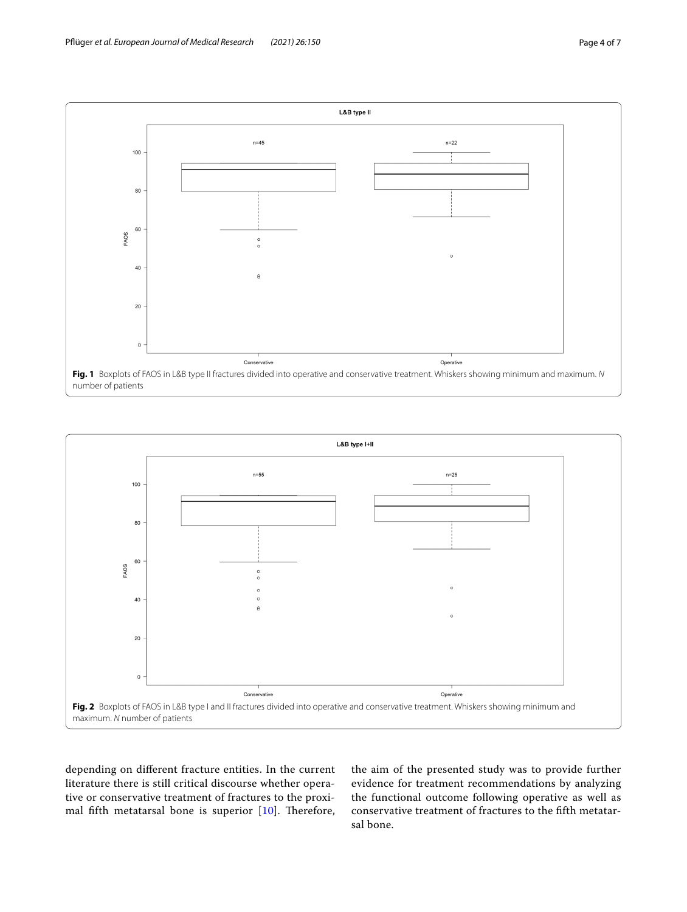

<span id="page-3-0"></span>

<span id="page-3-1"></span>depending on diferent fracture entities. In the current literature there is still critical discourse whether operative or conservative treatment of fractures to the proximal fifth metatarsal bone is superior  $[10]$  $[10]$ . Therefore,

the aim of the presented study was to provide further evidence for treatment recommendations by analyzing the functional outcome following operative as well as conservative treatment of fractures to the ffth metatarsal bone.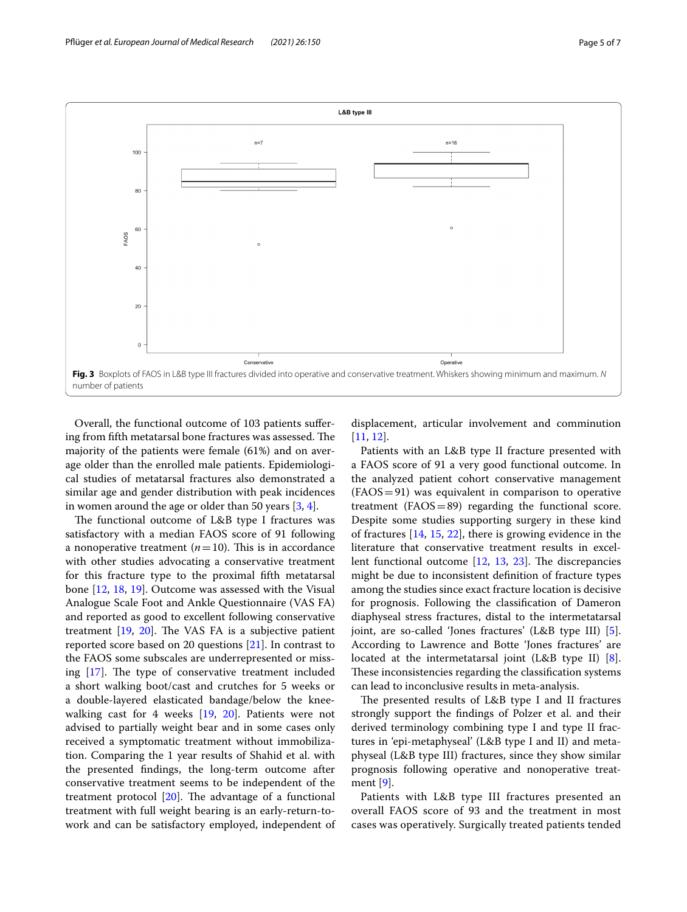

<span id="page-4-0"></span>Overall, the functional outcome of 103 patients sufering from fifth metatarsal bone fractures was assessed. The majority of the patients were female (61%) and on average older than the enrolled male patients. Epidemiological studies of metatarsal fractures also demonstrated a similar age and gender distribution with peak incidences in women around the age or older than 50 years [[3,](#page-5-1) [4](#page-5-2)].

The functional outcome of L&B type I fractures was satisfactory with a median FAOS score of 91 following a nonoperative treatment  $(n=10)$ . This is in accordance with other studies advocating a conservative treatment for this fracture type to the proximal ffth metatarsal bone [\[12,](#page-6-6) [18,](#page-6-7) [19\]](#page-6-8). Outcome was assessed with the Visual Analogue Scale Foot and Ankle Questionnaire (VAS FA) and reported as good to excellent following conservative treatment  $[19, 20]$  $[19, 20]$  $[19, 20]$  $[19, 20]$ . The VAS FA is a subjective patient reported score based on 20 questions [[21](#page-6-10)]. In contrast to the FAOS some subscales are underrepresented or missing  $[17]$  $[17]$  $[17]$ . The type of conservative treatment included a short walking boot/cast and crutches for 5 weeks or a double-layered elasticated bandage/below the kneewalking cast for 4 weeks [[19,](#page-6-8) [20](#page-6-9)]. Patients were not advised to partially weight bear and in some cases only received a symptomatic treatment without immobilization. Comparing the 1 year results of Shahid et al. with the presented fndings, the long-term outcome after conservative treatment seems to be independent of the treatment protocol  $[20]$  $[20]$ . The advantage of a functional treatment with full weight bearing is an early-return-towork and can be satisfactory employed, independent of displacement, articular involvement and comminution [[11,](#page-6-0) [12](#page-6-6)].

Patients with an L&B type II fracture presented with a FAOS score of 91 a very good functional outcome. In the analyzed patient cohort conservative management  $(FAOS=91)$  was equivalent in comparison to operative treatment  $(FAOS=89)$  regarding the functional score. Despite some studies supporting surgery in these kind of fractures [\[14,](#page-6-2) [15,](#page-6-3) [22\]](#page-6-11), there is growing evidence in the literature that conservative treatment results in excellent functional outcome  $[12, 13, 23]$  $[12, 13, 23]$  $[12, 13, 23]$  $[12, 13, 23]$  $[12, 13, 23]$  $[12, 13, 23]$ . The discrepancies might be due to inconsistent defnition of fracture types among the studies since exact fracture location is decisive for prognosis. Following the classifcation of Dameron diaphyseal stress fractures, distal to the intermetatarsal joint, are so-called 'Jones fractures' (L&B type III) [\[5](#page-5-3)]. According to Lawrence and Botte 'Jones fractures' are located at the intermetatarsal joint (L&B type II) [\[8](#page-5-5)]. These inconsistencies regarding the classification systems can lead to inconclusive results in meta-analysis.

The presented results of L&B type I and II fractures strongly support the fndings of Polzer et al. and their derived terminology combining type I and type II fractures in 'epi-metaphyseal' (L&B type I and II) and metaphyseal (L&B type III) fractures, since they show similar prognosis following operative and nonoperative treatment [[9](#page-5-6)].

Patients with L&B type III fractures presented an overall FAOS score of 93 and the treatment in most cases was operatively. Surgically treated patients tended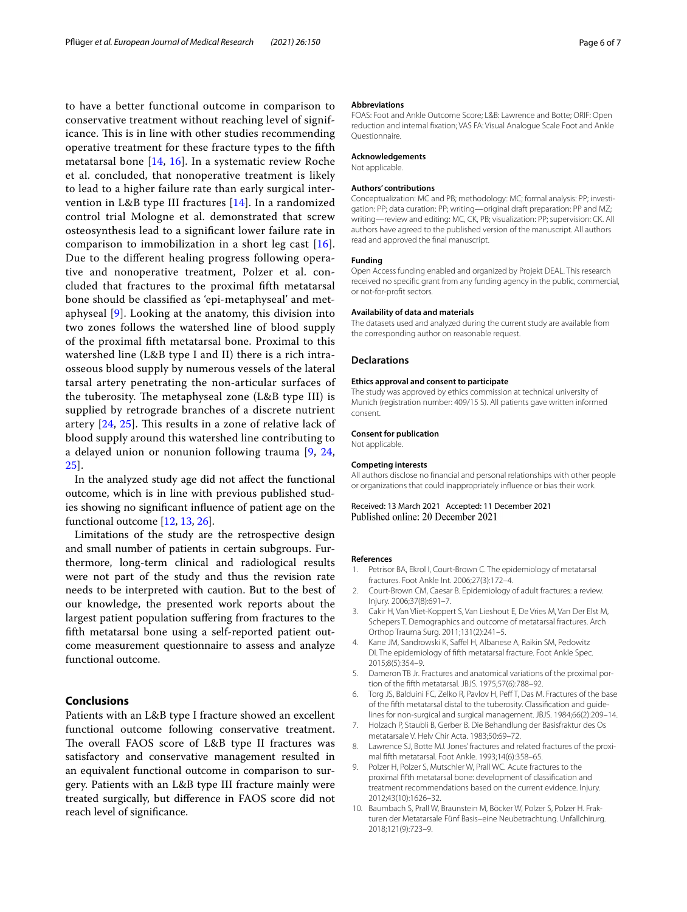to have a better functional outcome in comparison to conservative treatment without reaching level of significance. This is in line with other studies recommending operative treatment for these fracture types to the ffth metatarsal bone [\[14](#page-6-2), [16](#page-6-4)]. In a systematic review Roche et al. concluded, that nonoperative treatment is likely to lead to a higher failure rate than early surgical intervention in L&B type III fractures [\[14](#page-6-2)]. In a randomized control trial Mologne et al. demonstrated that screw osteosynthesis lead to a signifcant lower failure rate in comparison to immobilization in a short leg cast [[16\]](#page-6-4). Due to the diferent healing progress following operative and nonoperative treatment, Polzer et al. concluded that fractures to the proximal ffth metatarsal bone should be classifed as 'epi-metaphyseal' and metaphyseal [[9](#page-5-6)]. Looking at the anatomy, this division into two zones follows the watershed line of blood supply of the proximal ffth metatarsal bone. Proximal to this watershed line (L&B type I and II) there is a rich intraosseous blood supply by numerous vessels of the lateral tarsal artery penetrating the non-articular surfaces of the tuberosity. The metaphyseal zone  $(L&B$  type III) is supplied by retrograde branches of a discrete nutrient artery  $[24, 25]$  $[24, 25]$  $[24, 25]$  $[24, 25]$ . This results in a zone of relative lack of blood supply around this watershed line contributing to a delayed union or nonunion following trauma [[9](#page-5-6), [24](#page-6-13), [25\]](#page-6-14).

In the analyzed study age did not afect the functional outcome, which is in line with previous published studies showing no signifcant infuence of patient age on the functional outcome [\[12](#page-6-6), [13](#page-6-1), [26\]](#page-6-15).

Limitations of the study are the retrospective design and small number of patients in certain subgroups. Furthermore, long-term clinical and radiological results were not part of the study and thus the revision rate needs to be interpreted with caution. But to the best of our knowledge, the presented work reports about the largest patient population sufering from fractures to the ffth metatarsal bone using a self-reported patient outcome measurement questionnaire to assess and analyze functional outcome.

# **Conclusions**

Patients with an L&B type I fracture showed an excellent functional outcome following conservative treatment. The overall FAOS score of L&B type II fractures was satisfactory and conservative management resulted in an equivalent functional outcome in comparison to surgery. Patients with an L&B type III fracture mainly were treated surgically, but diference in FAOS score did not reach level of signifcance.

#### **Abbreviations**

FOAS: Foot and Ankle Outcome Score; L&B: Lawrence and Botte; ORIF: Open reduction and internal fxation; VAS FA: Visual Analogue Scale Foot and Ankle Questionnaire.

#### **Acknowledgements**

Not applicable.

#### **Authors' contributions**

Conceptualization: MC and PB; methodology: MC; formal analysis: PP; investigation: PP; data curation: PP; writing—original draft preparation: PP and MZ; writing—review and editing: MC, CK, PB; visualization: PP; supervision: CK. All authors have agreed to the published version of the manuscript. All authors read and approved the fnal manuscript.

#### **Funding**

Open Access funding enabled and organized by Projekt DEAL. This research received no specifc grant from any funding agency in the public, commercial, or not-for-proft sectors*.*

#### **Availability of data and materials**

The datasets used and analyzed during the current study are available from the corresponding author on reasonable request.

#### **Declarations**

#### **Ethics approval and consent to participate**

The study was approved by ethics commission at technical university of Munich (registration number: 409/15 S). All patients gave written informed consent.

#### **Consent for publication**

Not applicable.

#### **Competing interests**

All authors disclose no fnancial and personal relationships with other people or organizations that could inappropriately infuence or bias their work.

#### Received: 13 March 2021 Accepted: 11 December 2021 Published online: 20 December 2021

#### **References**

- <span id="page-5-0"></span>1. Petrisor BA, Ekrol I, Court-Brown C. The epidemiology of metatarsal fractures. Foot Ankle Int. 2006;27(3):172–4.
- <span id="page-5-8"></span>2. Court-Brown CM, Caesar B. Epidemiology of adult fractures: a review. Injury. 2006;37(8):691–7.
- <span id="page-5-1"></span>3. Cakir H, Van Vliet-Koppert S, Van Lieshout E, De Vries M, Van Der Elst M, Schepers T. Demographics and outcome of metatarsal fractures. Arch Orthop Trauma Surg. 2011;131(2):241–5.
- <span id="page-5-2"></span>4. Kane JM, Sandrowski K, Safel H, Albanese A, Raikin SM, Pedowitz DI. The epidemiology of ffth metatarsal fracture. Foot Ankle Spec. 2015;8(5):354–9.
- <span id="page-5-3"></span>5. Dameron TB Jr. Fractures and anatomical variations of the proximal portion of the ffth metatarsal. JBJS. 1975;57(6):788–92.
- 6. Torg JS, Balduini FC, Zelko R, Pavlov H, Pef T, Das M. Fractures of the base of the ffth metatarsal distal to the tuberosity. Classifcation and guidelines for non-surgical and surgical management. JBJS. 1984;66(2):209–14.
- <span id="page-5-4"></span>7. Holzach P, Staubli B, Gerber B. Die Behandlung der Basisfraktur des Os metatarsale V. Helv Chir Acta. 1983;50:69–72.
- <span id="page-5-5"></span>8. Lawrence SJ, Botte MJ. Jones' fractures and related fractures of the proximal ffth metatarsal. Foot Ankle. 1993;14(6):358–65.
- <span id="page-5-6"></span>9. Polzer H, Polzer S, Mutschler W, Prall WC. Acute fractures to the proximal ffth metatarsal bone: development of classifcation and treatment recommendations based on the current evidence. Injury. 2012;43(10):1626–32.
- <span id="page-5-7"></span>10. Baumbach S, Prall W, Braunstein M, Böcker W, Polzer S, Polzer H. Frakturen der Metatarsale Fünf Basis–eine Neubetrachtung. Unfallchirurg. 2018;121(9):723–9.